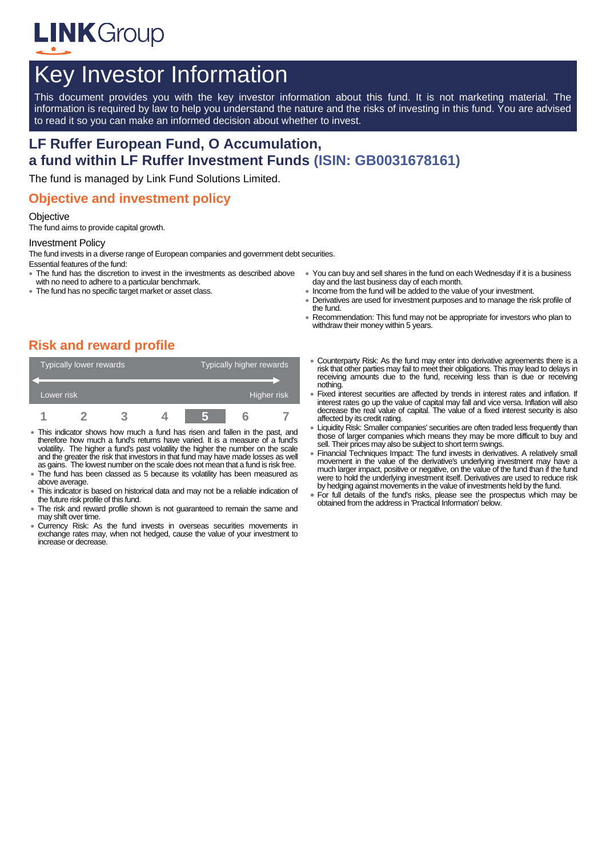

# Key Investor Information

This document provides you with the key investor information about this fund. It is not marketing material. The information is required by law to help you understand the nature and the risks of investing in this fund. You are advised to read it so you can make an informed decision about whether to invest.

# **LF Ruffer European Fund, O Accumulation, a fund within LF Ruffer Investment Funds (ISIN: GB0031678161)**

The fund is managed by Link Fund Solutions Limited.

### **Objective and investment policy**

#### **Objective**

The fund aims to provide capital growth.

#### Investment Policy

The fund invests in a diverse range of European companies and government debt securities. Essential features of the fund:

- The fund has the discretion to invest in the investments as described above
- with no need to adhere to a particular benchmark. The fund has no specific target market or asset class.
- You can buy and sell shares in the fund on each Wednesday if it is a business day and the last business day of each month.
	- Income from the fund will be added to the value of your investment.
	- Derivatives are used for investment purposes and to manage the risk profile of the fund.
	- Recommendation: This fund may not be appropriate for investors who plan to withdraw their money within 5 years.

# **Risk and reward profile**

| Typically lower rewards |  |  |  | Typically higher rewards |  |  |  |
|-------------------------|--|--|--|--------------------------|--|--|--|
|                         |  |  |  |                          |  |  |  |
| Lower risk              |  |  |  | Higher risk              |  |  |  |
|                         |  |  |  |                          |  |  |  |

- This indicator shows how much a fund has risen and fallen in the past, and therefore how much a fund's returns have varied. It is a measure of a fund's volatility. The higher a fund's past volatility the higher the number on the scale and the greater the risk that investors in that fund may have made losses as well as gains. The lowest number on the scale does not mean that a fund is risk free.
- The fund has been classed as 5 because its volatility has been measured as above average.
- This indicator is based on historical data and may not be a reliable indication of the future risk profile of this fund.
- The risk and reward profile shown is not guaranteed to remain the same and may shift over time.
- Currency Risk: As the fund invests in overseas securities movements in exchange rates may, when not hedged, cause the value of your investment to increase or decrease.
- Counterparty Risk: As the fund may enter into derivative agreements there is a risk that other parties may fail to meet their obligations. This may lead to delays in receiving amounts due to the fund, receiving less than is due or receiving nothing.
- Fixed interest securities are affected by trends in interest rates and inflation. If interest rates go up the value of capital may fall and vice versa. Inflation will also decrease the real value of capital. The value of a fixed interest security is also affected by its credit rating.
- Liquidity Risk: Smaller companies' securities are often traded less frequently than those of larger companies which means they may be more difficult to buy and sell. Their prices may also be subject to short term swings.
- Financial Techniques Impact: The fund invests in derivatives. A relatively small movement in the value of the derivative's underlying investment may have a much larger impact, positive or negative, on the value of the fund than if the fund were to hold the underlying investment itself. Derivatives are used to reduce risk by hedging against movements in the value of investments held by the fund.
- For full details of the fund's risks, please see the prospectus which may be obtained from the address in 'Practical Information' below.